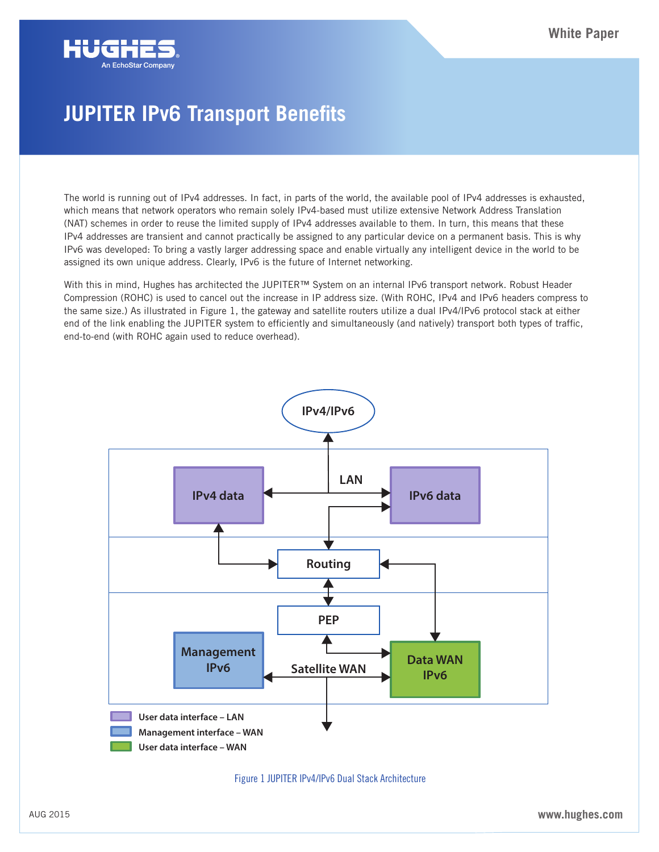

## **JUPITER IPv6 Transport Benefits**

The world is running out of IPv4 addresses. In fact, in parts of the world, the available pool of IPv4 addresses is exhausted, which means that network operators who remain solely IPv4-based must utilize extensive Network Address Translation (NAT) schemes in order to reuse the limited supply of IPv4 addresses available to them. In turn, this means that these IPv4 addresses are transient and cannot practically be assigned to any particular device on a permanent basis. This is why IPv6 was developed: To bring a vastly larger addressing space and enable virtually any intelligent device in the world to be assigned its own unique address. Clearly, IPv6 is the future of Internet networking.

With this in mind, Hughes has architected the JUPITER™ System on an internal IPv6 transport network. Robust Header Compression (ROHC) is used to cancel out the increase in IP address size. (With ROHC, IPv4 and IPv6 headers compress to the same size.) As illustrated in Figure 1, the gateway and satellite routers utilize a dual IPv4/IPv6 protocol stack at either end of the link enabling the JUPITER system to efficiently and simultaneously (and natively) transport both types of traffic, end-to-end (with ROHC again used to reduce overhead).





AUG 2015 **www.hughes.com**